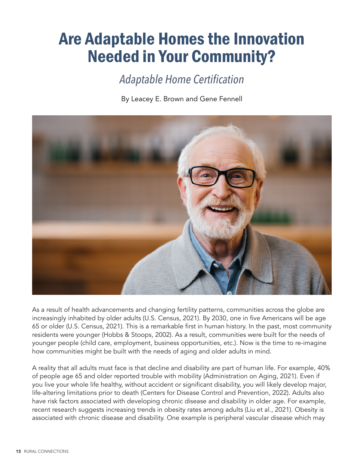## Are Adaptable Homes the Innovation Needed in Your Community?

## *Adaptable Home Certification*

By Leacey E. Brown and Gene Fennell



As a result of health advancements and changing fertility patterns, communities across the globe are increasingly inhabited by older adults (U.S. Census, 2021). By 2030, one in five Americans will be age 65 or older (U.S. Census, 2021). This is a remarkable first in human history. In the past, most community residents were younger (Hobbs & Stoops, 2002). As a result, communities were built for the needs of younger people (child care, employment, business opportunities, etc.). Now is the time to re-imagine how communities might be built with the needs of aging and older adults in mind.

A reality that all adults must face is that decline and disability are part of human life. For example, 40% of people age 65 and older reported trouble with mobility (Administration on Aging, 2021). Even if you live your whole life healthy, without accident or significant disability, you will likely develop major, life-altering limitations prior to death (Centers for Disease Control and Prevention, 2022). Adults also have risk factors associated with developing chronic disease and disability in older age. For example, recent research suggests increasing trends in obesity rates among adults (Liu et al., 2021). Obesity is associated with chronic disease and disability. One example is peripheral vascular disease which may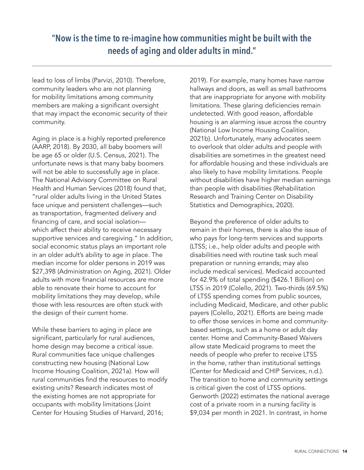lead to loss of limbs (Parvizi, 2010). Therefore, community leaders who are not planning for mobility limitations among community members are making a significant oversight that may impact the economic security of their community.

Aging in place is a highly reported preference (AARP, 2018). By 2030, all baby boomers will be age 65 or older (U.S. Census, 2021). The unfortunate news is that many baby boomers will not be able to successfully age in place. The National Advisory Committee on Rural Health and Human Services (2018) found that, "rural older adults living in the United States face unique and persistent challenges—such as transportation, fragmented delivery and financing of care, and social isolation which affect their ability to receive necessary supportive services and caregiving." In addition, social economic status plays an important role in an older adult's ability to age in place. The median income for older persons in 2019 was \$27,398 (Administration on Aging, 2021). Older adults with more financial resources are more able to renovate their home to account for mobility limitations they may develop, while those with less resources are often stuck with the design of their current home.

While these barriers to aging in place are significant, particularly for rural audiences, home design may become a critical issue. Rural communities face unique challenges constructing new housing (National Low Income Housing Coalition, 2021a). How will rural communities find the resources to modify existing units? Research indicates most of the existing homes are not appropriate for occupants with mobility limitations (Joint Center for Housing Studies of Harvard, 2016;

2019). For example, many homes have narrow hallways and doors, as well as small bathrooms that are inappropriate for anyone with mobility limitations. These glaring deficiencies remain undetected. With good reason, affordable housing is an alarming issue across the country (National Low Income Housing Coalition, 2021b). Unfortunately, many advocates seem to overlook that older adults and people with disabilities are sometimes in the greatest need for affordable housing and these individuals are also likely to have mobility limitations. People without disabilities have higher median earnings than people with disabilities (Rehabilitation Research and Training Center on Disability Statistics and Demographics, 2020).

Beyond the preference of older adults to remain in their homes, there is also the issue of who pays for long-term services and supports (LTSS; i.e., help older adults and people with disabilities need with routine task such meal preparation or running errands; may also include medical services). Medicaid accounted for 42.9% of total spending (\$426.1 Billion) on LTSS in 2019 (Colello, 2021). Two-thirds (69.5%) of LTSS spending comes from public sources, including Medicaid, Medicare, and other public payers (Colello, 2021). Efforts are being made to offer those services in home and communitybased settings, such as a home or adult day center. Home and Community-Based Waivers allow state Medicaid programs to meet the needs of people who prefer to receive LTSS in the home, rather than institutional settings (Center for Medicaid and CHIP Services, n.d.). The transition to home and community settings is critical given the cost of LTSS options. Genworth (2022) estimates the national average cost of a private room in a nursing facility is \$9,034 per month in 2021. In contrast, in home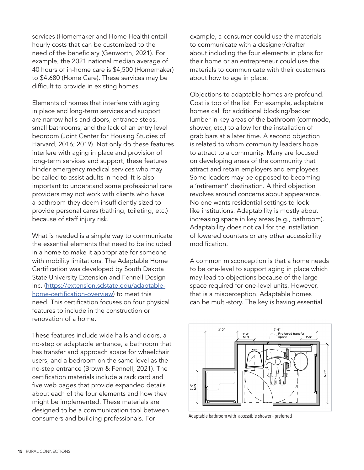services (Homemaker and Home Health) entail hourly costs that can be customized to the need of the beneficiary (Genworth, 2021). For example, the 2021 national median average of 40 hours of in-home care is \$4,500 (Homemaker) to \$4,680 (Home Care). These services may be difficult to provide in existing homes.

Elements of homes that interfere with aging in place and long-term services and support are narrow halls and doors, entrance steps, small bathrooms, and the lack of an entry level bedroom (Joint Center for Housing Studies of Harvard, 2016; 2019). Not only do these features interfere with aging in place and provision of long-term services and support, these features hinder emergency medical services who may be called to assist adults in need. It is also important to understand some professional care providers may not work with clients who have a bathroom they deem insufficiently sized to provide personal cares (bathing, toileting, etc.) because of staff injury risk.

What is needed is a simple way to communicate the essential elements that need to be included in a home to make it appropriate for someone with mobility limitations. The Adaptable Home Certification was developed by South Dakota State University Extension and Fennell Design Inc. [\(https://extension.sdstate.edu/adaptable](https://extension.sdstate.edu/adaptable-home-certification-overview)[home-certification-overview](https://extension.sdstate.edu/adaptable-home-certification-overview)) to meet this need. This certification focuses on four physical features to include in the construction or renovation of a home.

These features include wide halls and doors, a no-step or adaptable entrance, a bathroom that has transfer and approach space for wheelchair users, and a bedroom on the same level as the no-step entrance (Brown & Fennell, 2021). The certification materials include a rack card and five web pages that provide expanded details about each of the four elements and how they might be implemented. These materials are designed to be a communication tool between consumers and building professionals. For

example, a consumer could use the materials to communicate with a designer/drafter about including the four elements in plans for their home or an entrepreneur could use the materials to communicate with their customers about how to age in place.

Objections to adaptable homes are profound. Cost is top of the list. For example, adaptable homes call for additional blocking/backer lumber in key areas of the bathroom (commode, shower, etc.) to allow for the installation of grab bars at a later time. A second objection is related to whom community leaders hope to attract to a community. Many are focused on developing areas of the community that attract and retain employers and employees. Some leaders may be opposed to becoming a 'retirement' destination. A third objection revolves around concerns about appearance. No one wants residential settings to look like institutions. Adaptability is mostly about increasing space in key areas (e.g., bathroom). Adaptability does not call for the installation of lowered counters or any other accessibility modification.

A common misconception is that a home needs to be one-level to support aging in place which may lead to objections because of the large space required for one-level units. However, that is a misperception. Adaptable homes can be multi-story. The key is having essential



Adaptable bathroom with accessible shower - preferred